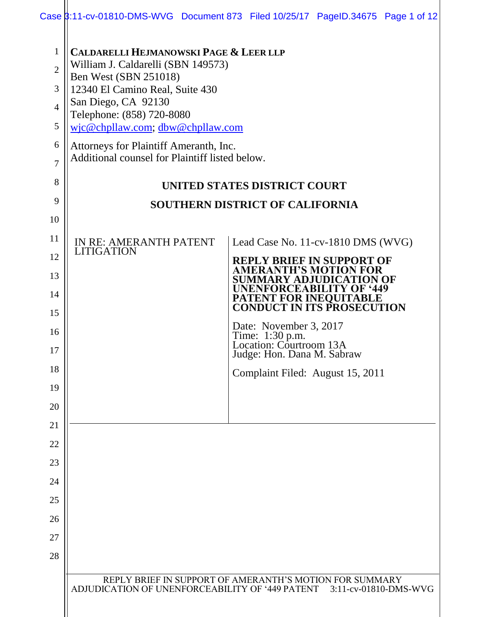| Case 3:11-cv-01810-DMS-WVG Document 873 Filed 10/25/17 PageID.34675 Page 1 of 12 |  |  |
|----------------------------------------------------------------------------------|--|--|
|                                                                                  |  |  |

| $\mathbf{1}$<br>$\overline{2}$<br>3<br>$\overline{4}$<br>5<br>6<br>7 | <b>CALDARELLI HEJMANOWSKI PAGE &amp; LEER LLP</b><br>William J. Caldarelli (SBN 149573)<br>Ben West (SBN 251018)<br>12340 El Camino Real, Suite 430<br>San Diego, CA 92130<br>Telephone: (858) 720-8080<br>wjc@chpllaw.com; dbw@chpllaw.com<br>Attorneys for Plaintiff Ameranth, Inc.<br>Additional counsel for Plaintiff listed below. |                                                                                                                                  |  |  |  |  |
|----------------------------------------------------------------------|-----------------------------------------------------------------------------------------------------------------------------------------------------------------------------------------------------------------------------------------------------------------------------------------------------------------------------------------|----------------------------------------------------------------------------------------------------------------------------------|--|--|--|--|
| 8                                                                    | UNITED STATES DISTRICT COURT                                                                                                                                                                                                                                                                                                            |                                                                                                                                  |  |  |  |  |
| 9                                                                    | <b>SOUTHERN DISTRICT OF CALIFORNIA</b>                                                                                                                                                                                                                                                                                                  |                                                                                                                                  |  |  |  |  |
| 10                                                                   |                                                                                                                                                                                                                                                                                                                                         |                                                                                                                                  |  |  |  |  |
| 11                                                                   | IN RE: AMERANTH PATENT                                                                                                                                                                                                                                                                                                                  | Lead Case No. 11-cv-1810 DMS (WVG)                                                                                               |  |  |  |  |
| 12                                                                   | <b>LITIGATION</b>                                                                                                                                                                                                                                                                                                                       | <b>REPLY BRIEF IN SUPPORT OF</b>                                                                                                 |  |  |  |  |
| 13                                                                   |                                                                                                                                                                                                                                                                                                                                         | 'H'S M(<br>ENFORCEARIL                                                                                                           |  |  |  |  |
| 14                                                                   |                                                                                                                                                                                                                                                                                                                                         | <b>PATENT FOR INEQUITABLE</b><br><b>CONDUCT IN ITS PROSECUTION</b>                                                               |  |  |  |  |
| 15                                                                   |                                                                                                                                                                                                                                                                                                                                         | Date: November 3, 2017                                                                                                           |  |  |  |  |
| 16<br>17                                                             |                                                                                                                                                                                                                                                                                                                                         | Time: 1:30 p.m.<br>Location: Courtroom 13A                                                                                       |  |  |  |  |
| 18                                                                   |                                                                                                                                                                                                                                                                                                                                         | Judge: Hon. Dana M. Sabraw                                                                                                       |  |  |  |  |
| 19                                                                   |                                                                                                                                                                                                                                                                                                                                         | Complaint Filed: August 15, 2011                                                                                                 |  |  |  |  |
| 20                                                                   |                                                                                                                                                                                                                                                                                                                                         |                                                                                                                                  |  |  |  |  |
| 21                                                                   |                                                                                                                                                                                                                                                                                                                                         |                                                                                                                                  |  |  |  |  |
| 22                                                                   |                                                                                                                                                                                                                                                                                                                                         |                                                                                                                                  |  |  |  |  |
| 23                                                                   |                                                                                                                                                                                                                                                                                                                                         |                                                                                                                                  |  |  |  |  |
| 24                                                                   |                                                                                                                                                                                                                                                                                                                                         |                                                                                                                                  |  |  |  |  |
| 25                                                                   |                                                                                                                                                                                                                                                                                                                                         |                                                                                                                                  |  |  |  |  |
| 26                                                                   |                                                                                                                                                                                                                                                                                                                                         |                                                                                                                                  |  |  |  |  |
| 27                                                                   |                                                                                                                                                                                                                                                                                                                                         |                                                                                                                                  |  |  |  |  |
| 28                                                                   |                                                                                                                                                                                                                                                                                                                                         |                                                                                                                                  |  |  |  |  |
|                                                                      |                                                                                                                                                                                                                                                                                                                                         | REPLY BRIEF IN SUPPORT OF AMERANTH'S MOTION FOR SUMMARY<br>ADJUDICATION OF UNENFORCEABILITY OF '449 PATENT 3:11-cv-01810-DMS-WVG |  |  |  |  |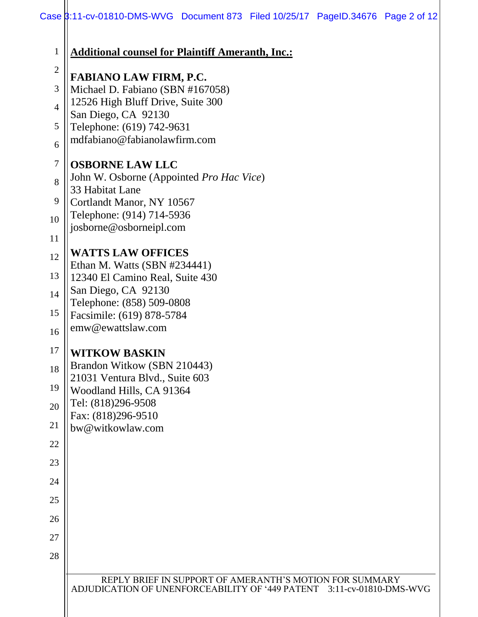| $\mathbf{1}$   | <b>Additional counsel for Plaintiff Ameranth, Inc.:</b>                                                                          |  |  |  |  |
|----------------|----------------------------------------------------------------------------------------------------------------------------------|--|--|--|--|
| $\overline{c}$ | <b>FABIANO LAW FIRM, P.C.</b>                                                                                                    |  |  |  |  |
| 3              | Michael D. Fabiano (SBN #167058)                                                                                                 |  |  |  |  |
| $\overline{4}$ | 12526 High Bluff Drive, Suite 300<br>San Diego, CA 92130<br>Telephone: (619) 742-9631                                            |  |  |  |  |
| 5              |                                                                                                                                  |  |  |  |  |
| 6              | mdfabiano@fabianolawfirm.com                                                                                                     |  |  |  |  |
| 7              | <b>OSBORNE LAW LLC</b>                                                                                                           |  |  |  |  |
| 8              | John W. Osborne (Appointed Pro Hac Vice)<br>33 Habitat Lane                                                                      |  |  |  |  |
| 9              | Cortlandt Manor, NY 10567<br>Telephone: (914) 714-5936<br>josborne@osborneipl.com                                                |  |  |  |  |
| 10             |                                                                                                                                  |  |  |  |  |
| 11             |                                                                                                                                  |  |  |  |  |
| 12             | <b>WATTS LAW OFFICES</b>                                                                                                         |  |  |  |  |
| 13             | Ethan M. Watts (SBN #234441)<br>12340 El Camino Real, Suite 430                                                                  |  |  |  |  |
| 14             | San Diego, CA 92130                                                                                                              |  |  |  |  |
| 15             | Telephone: (858) 509-0808<br>Facsimile: (619) 878-5784                                                                           |  |  |  |  |
| 16             | emw@ewattslaw.com                                                                                                                |  |  |  |  |
| 17             | <b>WITKOW BASKIN</b>                                                                                                             |  |  |  |  |
| 18             | Brandon Witkow (SBN 210443)                                                                                                      |  |  |  |  |
| 19             | 21031 Ventura Blvd., Suite 603                                                                                                   |  |  |  |  |
| 20             | Woodland Hills, CA 91364<br>Tel: (818)296-9508                                                                                   |  |  |  |  |
| 21             | Fax: (818)296-9510                                                                                                               |  |  |  |  |
| 22             | bw@witkowlaw.com                                                                                                                 |  |  |  |  |
| 23             |                                                                                                                                  |  |  |  |  |
| 24             |                                                                                                                                  |  |  |  |  |
| 25             |                                                                                                                                  |  |  |  |  |
| 26             |                                                                                                                                  |  |  |  |  |
| 27             |                                                                                                                                  |  |  |  |  |
| 28             |                                                                                                                                  |  |  |  |  |
|                |                                                                                                                                  |  |  |  |  |
|                | REPLY BRIEF IN SUPPORT OF AMERANTH'S MOTION FOR SUMMARY<br>ADJUDICATION OF UNENFORCEABILITY OF '449 PATENT 3:11-cv-01810-DMS-WVG |  |  |  |  |
|                |                                                                                                                                  |  |  |  |  |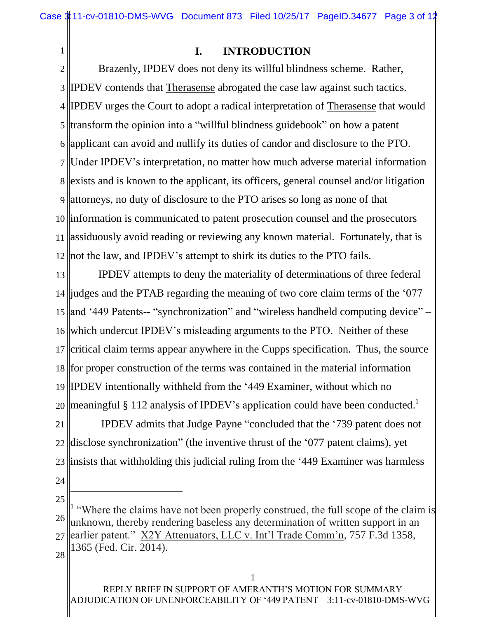**I. INTRODUCTION**

2 3 4 5 6 7 Under IPDEV's interpretation, no matter how much adverse material information 8 9 attorneys, no duty of disclosure to the PTO arises so long as none of that 10 information is communicated to patent prosecution counsel and the prosecutors 11 assiduously avoid reading or reviewing any known material. Fortunately, that is 12 not the law, and IPDEV's attempt to shirk its duties to the PTO fails. Brazenly, IPDEV does not deny its willful blindness scheme. Rather, IPDEV contends that Therasense abrogated the case law against such tactics. IPDEV urges the Court to adopt a radical interpretation of Therasense that would transform the opinion into a "willful blindness guidebook" on how a patent applicant can avoid and nullify its duties of candor and disclosure to the PTO. exists and is known to the applicant, its officers, general counsel and/or litigation

13 14 judges and the PTAB regarding the meaning of two core claim terms of the '077 15 and '449 Patents-- "synchronization" and "wireless handheld computing device" – 16 17 18 19 20 IPDEV attempts to deny the materiality of determinations of three federal which undercut IPDEV's misleading arguments to the PTO. Neither of these critical claim terms appear anywhere in the Cupps specification. Thus, the source for proper construction of the terms was contained in the material information IPDEV intentionally withheld from the '449 Examiner, without which no meaningful § 112 analysis of IPDEV's application could have been conducted.<sup>1</sup>

21 22 23 IPDEV admits that Judge Payne "concluded that the '739 patent does not disclose synchronization" (the inventive thrust of the '077 patent claims), yet insists that withholding this judicial ruling from the '449 Examiner was harmless

24

 $\overline{a}$ 

1

25

28

<sup>26</sup> 27 1 "Where the claims have not been properly construed, the full scope of the claim is unknown, thereby rendering baseless any determination of written support in an earlier patent." X2Y Attenuators, LLC v. Int'l Trade Comm'n, 757 F.3d 1358, 1365 (Fed. Cir. 2014).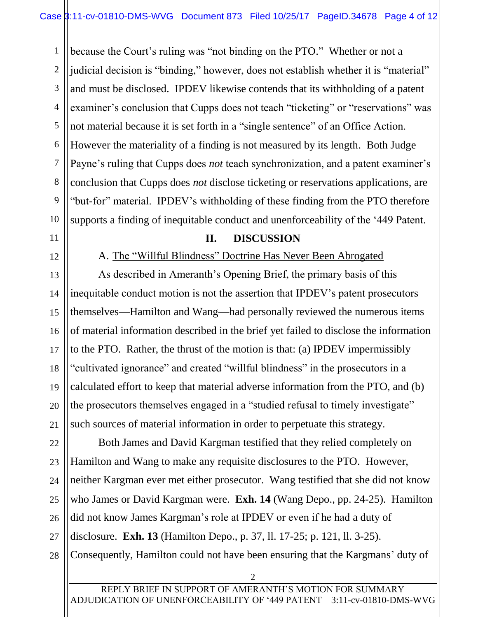1 2 3 4 5 6 7 8 9 10 because the Court's ruling was "not binding on the PTO." Whether or not a judicial decision is "binding," however, does not establish whether it is "material" and must be disclosed. IPDEV likewise contends that its withholding of a patent examiner's conclusion that Cupps does not teach "ticketing" or "reservations" was not material because it is set forth in a "single sentence" of an Office Action. However the materiality of a finding is not measured by its length. Both Judge Payne's ruling that Cupps does *not* teach synchronization, and a patent examiner's conclusion that Cupps does *not* disclose ticketing or reservations applications, are "but-for" material. IPDEV's withholding of these finding from the PTO therefore supports a finding of inequitable conduct and unenforceability of the '449 Patent.

### 11

12

13

15

17

21

## A. The "Willful Blindness" Doctrine Has Never Been Abrogated

**II. DISCUSSION**

14 16 18 19 20 As described in Ameranth's Opening Brief, the primary basis of this inequitable conduct motion is not the assertion that IPDEV's patent prosecutors themselves—Hamilton and Wang—had personally reviewed the numerous items of material information described in the brief yet failed to disclose the information to the PTO. Rather, the thrust of the motion is that: (a) IPDEV impermissibly "cultivated ignorance" and created "willful blindness" in the prosecutors in a calculated effort to keep that material adverse information from the PTO, and (b) the prosecutors themselves engaged in a "studied refusal to timely investigate" such sources of material information in order to perpetuate this strategy.

22 23 24 25 26 27 28 Both James and David Kargman testified that they relied completely on Hamilton and Wang to make any requisite disclosures to the PTO. However, neither Kargman ever met either prosecutor. Wang testified that she did not know who James or David Kargman were. **Exh. 14** (Wang Depo., pp. 24-25). Hamilton did not know James Kargman's role at IPDEV or even if he had a duty of disclosure. **Exh. 13** (Hamilton Depo., p. 37, ll. 17-25; p. 121, ll. 3-25). Consequently, Hamilton could not have been ensuring that the Kargmans' duty of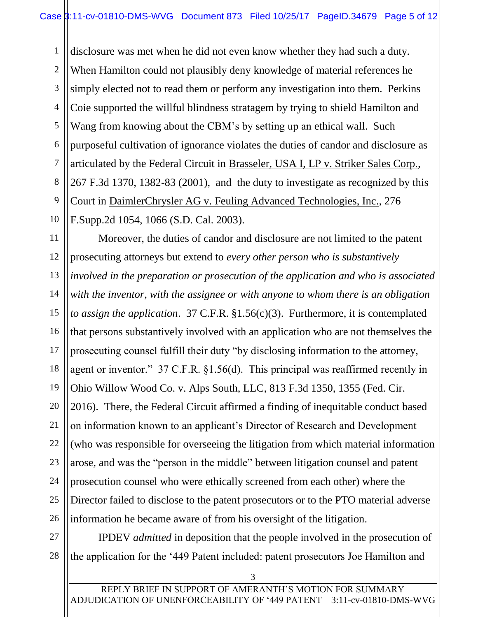1 2 3 4 5 6 7 8 9 10 disclosure was met when he did not even know whether they had such a duty. When Hamilton could not plausibly deny knowledge of material references he simply elected not to read them or perform any investigation into them. Perkins Coie supported the willful blindness stratagem by trying to shield Hamilton and Wang from knowing about the CBM's by setting up an ethical wall. Such purposeful cultivation of ignorance violates the duties of candor and disclosure as articulated by the Federal Circuit in Brasseler, USA I, LP v. Striker Sales Corp., 267 F.3d 1370, 1382-83 (2001), and the duty to investigate as recognized by this Court in DaimlerChrysler AG v. Feuling Advanced Technologies, Inc., 276 F.Supp.2d 1054, 1066 (S.D. Cal. 2003).

11 12 13 14 15 16 17 18 19 20 21 22 23 24 25 26 Moreover, the duties of candor and disclosure are not limited to the patent prosecuting attorneys but extend to *every other person who is substantively involved in the preparation or prosecution of the application and who is associated with the inventor, with the assignee or with anyone to whom there is an obligation to assign the application*. 37 C.F.R. §1.56(c)(3). Furthermore, it is contemplated that persons substantively involved with an application who are not themselves the prosecuting counsel fulfill their duty "by disclosing information to the attorney, agent or inventor." 37 C.F.R. §1.56(d). This principal was reaffirmed recently in Ohio Willow Wood Co. v. Alps South, LLC, 813 F.3d 1350, 1355 (Fed. Cir. 2016). There, the Federal Circuit affirmed a finding of inequitable conduct based on information known to an applicant's Director of Research and Development (who was responsible for overseeing the litigation from which material information arose, and was the "person in the middle" between litigation counsel and patent prosecution counsel who were ethically screened from each other) where the Director failed to disclose to the patent prosecutors or to the PTO material adverse information he became aware of from his oversight of the litigation.

27 28 IPDEV *admitted* in deposition that the people involved in the prosecution of the application for the '449 Patent included: patent prosecutors Joe Hamilton and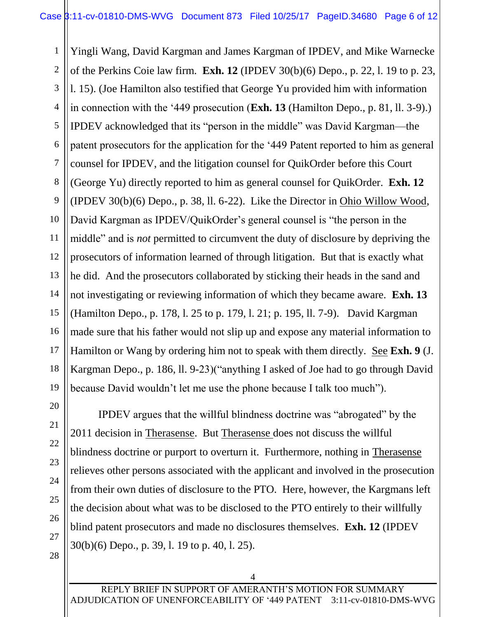1 2 3 4 5 6 7 8 9 10 11 12 Yingli Wang, David Kargman and James Kargman of IPDEV, and Mike Warnecke of the Perkins Coie law firm. **Exh. 12** (IPDEV 30(b)(6) Depo., p. 22, l. 19 to p. 23, l. 15). (Joe Hamilton also testified that George Yu provided him with information in connection with the '449 prosecution (**Exh. 13** (Hamilton Depo., p. 81, ll. 3-9).) IPDEV acknowledged that its "person in the middle" was David Kargman—the patent prosecutors for the application for the '449 Patent reported to him as general counsel for IPDEV, and the litigation counsel for QuikOrder before this Court (George Yu) directly reported to him as general counsel for QuikOrder. **Exh. 12** (IPDEV 30(b)(6) Depo., p. 38, ll. 6-22). Like the Director in Ohio Willow Wood, David Kargman as IPDEV/QuikOrder's general counsel is "the person in the middle" and is *not* permitted to circumvent the duty of disclosure by depriving the prosecutors of information learned of through litigation. But that is exactly what he did. And the prosecutors collaborated by sticking their heads in the sand and not investigating or reviewing information of which they became aware. **Exh. 13** (Hamilton Depo., p. 178, l. 25 to p. 179, l. 21; p. 195, ll. 7-9). David Kargman made sure that his father would not slip up and expose any material information to Hamilton or Wang by ordering him not to speak with them directly. See **Exh. 9** (J. Kargman Depo., p. 186, ll. 9-23)("anything I asked of Joe had to go through David because David wouldn't let me use the phone because I talk too much").

IPDEV argues that the willful blindness doctrine was "abrogated" by the 2011 decision in Therasense. But Therasense does not discuss the willful blindness doctrine or purport to overturn it. Furthermore, nothing in Therasense relieves other persons associated with the applicant and involved in the prosecution from their own duties of disclosure to the PTO. Here, however, the Kargmans left the decision about what was to be disclosed to the PTO entirely to their willfully blind patent prosecutors and made no disclosures themselves. **Exh. 12** (IPDEV 30(b)(6) Depo., p. 39, l. 19 to p. 40, l. 25).

4

REPLY BRIEF IN SUPPORT OF AMERANTH'S MOTION FOR SUMMARY ADJUDICATION OF UNENFORCEABILITY OF '449 PATENT 3:11-cv-01810-DMS-WVG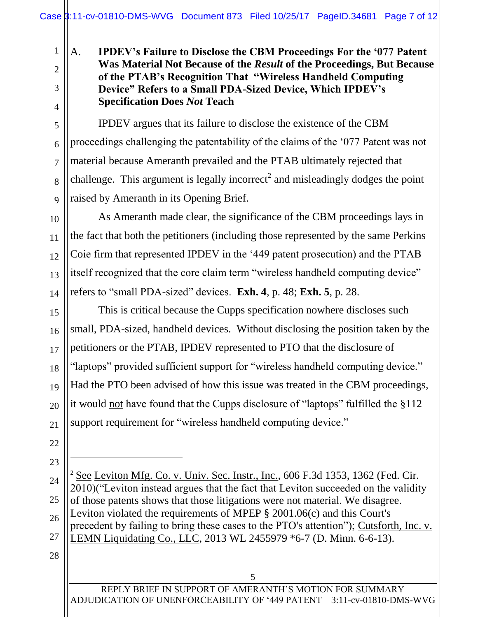## A. **IPDEV's Failure to Disclose the CBM Proceedings For the '077 Patent Was Material Not Because of the** *Result* **of the Proceedings, But Because of the PTAB's Recognition That "Wireless Handheld Computing Device" Refers to a Small PDA-Sized Device, Which IPDEV's Specification Does** *Not* **Teach**

IPDEV argues that its failure to disclose the existence of the CBM proceedings challenging the patentability of the claims of the '077 Patent was not material because Ameranth prevailed and the PTAB ultimately rejected that challenge. This argument is legally incorrect<sup>2</sup> and misleadingly dodges the point raised by Ameranth in its Opening Brief.

As Ameranth made clear, the significance of the CBM proceedings lays in the fact that both the petitioners (including those represented by the same Perkins Coie firm that represented IPDEV in the '449 patent prosecution) and the PTAB itself recognized that the core claim term "wireless handheld computing device" refers to "small PDA-sized" devices. **Exh. 4**, p. 48; **Exh. 5**, p. 28.

This is critical because the Cupps specification nowhere discloses such small, PDA-sized, handheld devices. Without disclosing the position taken by the petitioners or the PTAB, IPDEV represented to PTO that the disclosure of "laptops" provided sufficient support for "wireless handheld computing device." Had the PTO been advised of how this issue was treated in the CBM proceedings, it would not have found that the Cupps disclosure of "laptops" fulfilled the §112 support requirement for "wireless handheld computing device."

22

 $\overline{a}$ 

1

2

3

4

5

6

7

8

9

10

11

12

13

14

15

16

17

18

19

20

21

23

24 25 26 27 <sup>2</sup> See Leviton Mfg. Co. v. Univ. Sec. Instr., Inc., 606 F.3d 1353, 1362 (Fed. Cir. 2010)("Leviton instead argues that the fact that Leviton succeeded on the validity of those patents shows that those litigations were not material. We disagree. Leviton violated the requirements of [MPEP § 2001.06\(c\)](https://1.next.westlaw.com/Link/Document/FullText?findType=Y&pubNum=1015320&cite=MPEPs2001.06(c)&originatingDoc=I4e0263bf6d6811dfaad3d35f6227d4a8&refType=TS&originationContext=document&transitionType=DocumentItem&contextData=(sc.DocLink)) and this Court's precedent by failing to bring these cases to the PTO's attention"); Cutsforth, Inc. v. LEMN Liquidating Co., LLC, 2013 WL 2455979 \*6-7 (D. Minn. 6-6-13).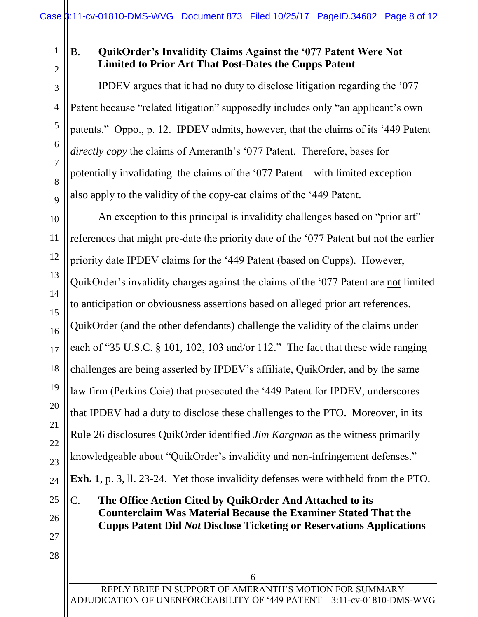1 2

3

4

5

6

7

8

9

10

11

12

13

14

15

16

17

18

19

20

21

22

23

24

25

# B. **QuikOrder's Invalidity Claims Against the '077 Patent Were Not Limited to Prior Art That Post-Dates the Cupps Patent**

IPDEV argues that it had no duty to disclose litigation regarding the '077 Patent because "related litigation" supposedly includes only "an applicant's own patents." Oppo., p. 12. IPDEV admits, however, that the claims of its '449 Patent *directly copy* the claims of Ameranth's '077 Patent. Therefore, bases for potentially invalidating the claims of the '077 Patent—with limited exception also apply to the validity of the copy-cat claims of the '449 Patent.

An exception to this principal is invalidity challenges based on "prior art" references that might pre-date the priority date of the '077 Patent but not the earlier priority date IPDEV claims for the '449 Patent (based on Cupps). However, QuikOrder's invalidity charges against the claims of the '077 Patent are not limited to anticipation or obviousness assertions based on alleged prior art references. QuikOrder (and the other defendants) challenge the validity of the claims under each of "35 U.S.C. § 101, 102, 103 and/or 112." The fact that these wide ranging challenges are being asserted by IPDEV's affiliate, QuikOrder, and by the same law firm (Perkins Coie) that prosecuted the '449 Patent for IPDEV, underscores that IPDEV had a duty to disclose these challenges to the PTO. Moreover, in its Rule 26 disclosures QuikOrder identified *Jim Kargman* as the witness primarily knowledgeable about "QuikOrder's invalidity and non-infringement defenses." **Exh. 1**, p. 3, ll. 23-24. Yet those invalidity defenses were withheld from the PTO.

C. **The Office Action Cited by QuikOrder And Attached to its Counterclaim Was Material Because the Examiner Stated That the Cupps Patent Did** *Not* **Disclose Ticketing or Reservations Applications**

26 27

28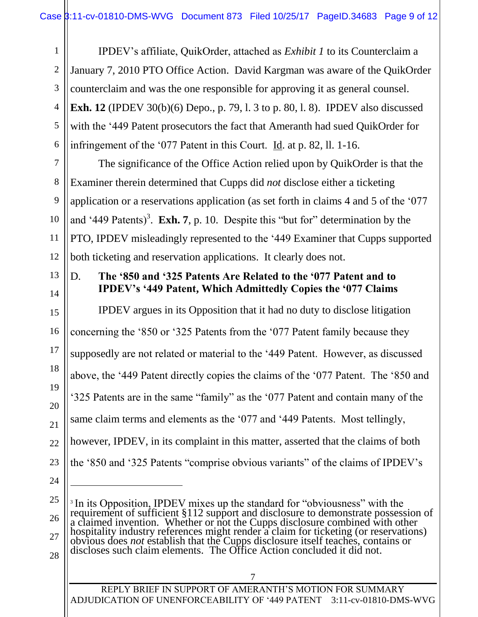IPDEV's affiliate, QuikOrder, attached as *Exhibit 1* to its Counterclaim a January 7, 2010 PTO Office Action. David Kargman was aware of the QuikOrder counterclaim and was the one responsible for approving it as general counsel. **Exh. 12** (IPDEV 30(b)(6) Depo., p. 79, l. 3 to p. 80, l. 8). IPDEV also discussed with the '449 Patent prosecutors the fact that Ameranth had sued QuikOrder for infringement of the '077 Patent in this Court. Id. at p. 82, ll. 1-16.

The significance of the Office Action relied upon by QuikOrder is that the Examiner therein determined that Cupps did *not* disclose either a ticketing application or a reservations application (as set forth in claims 4 and 5 of the '077 and '449 Patents)<sup>3</sup>. **Exh. 7**, p. 10. Despite this "but for" determination by the PTO, IPDEV misleadingly represented to the '449 Examiner that Cupps supported both ticketing and reservation applications. It clearly does not.

# 13 14

1

2

3

4

5

6

7

8

9

10

11

12

15

16

17

18

19

20

21

22

23

#### D. **The '850 and '325 Patents Are Related to the '077 Patent and to IPDEV's '449 Patent, Which Admittedly Copies the '077 Claims**

IPDEV argues in its Opposition that it had no duty to disclose litigation concerning the '850 or '325 Patents from the '077 Patent family because they supposedly are not related or material to the '449 Patent. However, as discussed above, the '449 Patent directly copies the claims of the '077 Patent. The '850 and '325 Patents are in the same "family" as the '077 Patent and contain many of the same claim terms and elements as the '077 and '449 Patents. Most tellingly, however, IPDEV, in its complaint in this matter, asserted that the claims of both the '850 and '325 Patents "comprise obvious variants" of the claims of IPDEV's

 $\overline{a}$ 

27

28

REPLY BRIEF IN SUPPORT OF AMERANTH'S MOTION FOR SUMMARY ADJUDICATION OF UNENFORCEABILITY OF '449 PATENT 3:11-cv-01810-DMS-WVG

<sup>24</sup>

<sup>25</sup>

<sup>26</sup> <sup>3</sup> In its Opposition, IPDEV mixes up the standard for "obviousness" with the requirement of sufficient §112 support and disclosure to demonstrate possession of a claimed invention. Whether or not the Cupps disclosure combined with other hospitality industry references might render a claim for ticketing (or reservations) obvious does *not* establish that the Cupps disclosure itself teaches, contains or discloses such claim elements. The Office Action concluded it did not.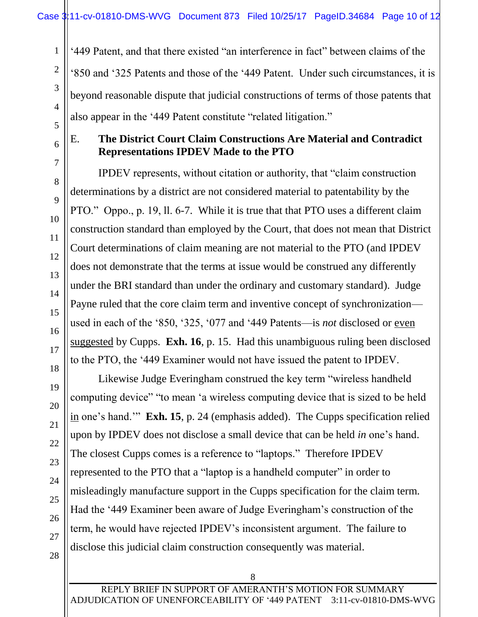'449 Patent, and that there existed "an interference in fact" between claims of the '850 and '325 Patents and those of the '449 Patent. Under such circumstances, it is beyond reasonable dispute that judicial constructions of terms of those patents that also appear in the '449 Patent constitute "related litigation."

1

2

3

4

5

6

7

8

9

10

11

12

13

14

15

16

17

18

19

20

21

22

#### E. **The District Court Claim Constructions Are Material and Contradict Representations IPDEV Made to the PTO**

IPDEV represents, without citation or authority, that "claim construction determinations by a district are not considered material to patentability by the PTO." Oppo., p. 19, ll. 6-7. While it is true that that PTO uses a different claim construction standard than employed by the Court, that does not mean that District Court determinations of claim meaning are not material to the PTO (and IPDEV does not demonstrate that the terms at issue would be construed any differently under the BRI standard than under the ordinary and customary standard). Judge Payne ruled that the core claim term and inventive concept of synchronization used in each of the '850, '325, '077 and '449 Patents—is *not* disclosed or even suggested by Cupps. **Exh. 16**, p. 15. Had this unambiguous ruling been disclosed to the PTO, the '449 Examiner would not have issued the patent to IPDEV.

Likewise Judge Everingham construed the key term "wireless handheld computing device" "to mean 'a wireless computing device that is sized to be held in one's hand.'" **Exh. 15**, p. 24 (emphasis added). The Cupps specification relied upon by IPDEV does not disclose a small device that can be held *in* one's hand. The closest Cupps comes is a reference to "laptops." Therefore IPDEV represented to the PTO that a "laptop is a handheld computer" in order to misleadingly manufacture support in the Cupps specification for the claim term. Had the '449 Examiner been aware of Judge Everingham's construction of the term, he would have rejected IPDEV's inconsistent argument. The failure to disclose this judicial claim construction consequently was material.

28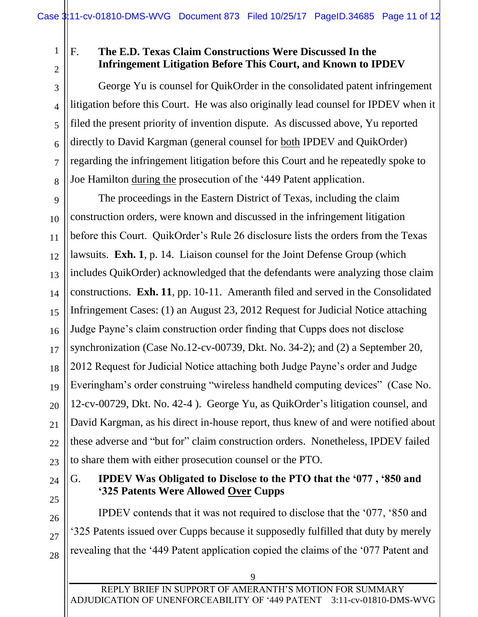1

2

3

4

5

6

7

8

## F. **The E.D. Texas Claim Constructions Were Discussed In the Infringement Litigation Before This Court, and Known to IPDEV**

George Yu is counsel for QuikOrder in the consolidated patent infringement litigation before this Court. He was also originally lead counsel for IPDEV when it filed the present priority of invention dispute. As discussed above, Yu reported directly to David Kargman (general counsel for both IPDEV and QuikOrder) regarding the infringement litigation before this Court and he repeatedly spoke to Joe Hamilton during the prosecution of the '449 Patent application.

9 10 11 12 13 14 15 16 17 18 19 20 21 22 23 The proceedings in the Eastern District of Texas, including the claim construction orders, were known and discussed in the infringement litigation before this Court. QuikOrder's Rule 26 disclosure lists the orders from the Texas lawsuits. **Exh. 1**, p. 14. Liaison counsel for the Joint Defense Group (which includes QuikOrder) acknowledged that the defendants were analyzing those claim constructions. **Exh. 11**, pp. 10-11. Ameranth filed and served in the Consolidated Infringement Cases: (1) an August 23, 2012 Request for Judicial Notice attaching Judge Payne's claim construction order finding that Cupps does not disclose synchronization (Case No.12-cv-00739, Dkt. No. 34-2); and (2) a September 20, 2012 Request for Judicial Notice attaching both Judge Payne's order and Judge Everingham's order construing "wireless handheld computing devices" (Case No. 12-cv-00729, Dkt. No. 42-4 ). George Yu, as QuikOrder's litigation counsel, and David Kargman, as his direct in-house report, thus knew of and were notified about these adverse and "but for" claim construction orders. Nonetheless, IPDEV failed to share them with either prosecution counsel or the PTO.

24 25

26

27

28

## G. **IPDEV Was Obligated to Disclose to the PTO that the '077 , '850 and '325 Patents Were Allowed Over Cupps**

IPDEV contends that it was not required to disclose that the '077, '850 and '325 Patents issued over Cupps because it supposedly fulfilled that duty by merely revealing that the '449 Patent application copied the claims of the '077 Patent and